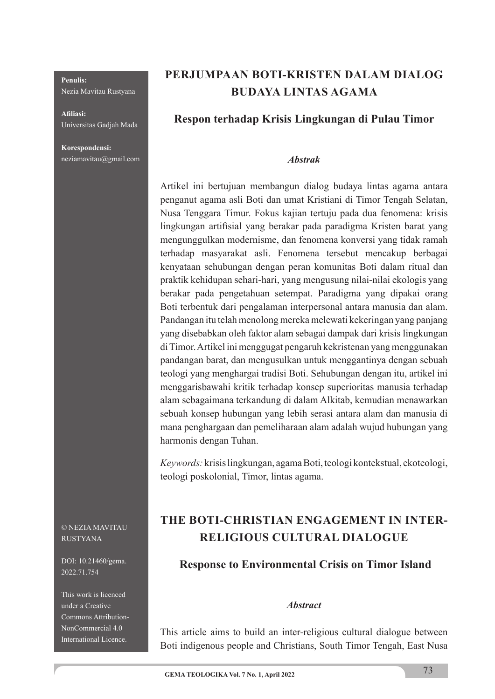#### **Penulis:**

Nezia Mavitau Rustyana

**Afi liasi:** Universitas Gadjah Mada

**Korespondensi:** neziamavitau@gmail.com

# **PERJUMPAAN BOTI-KRISTEN DALAM DIALOG BUDAYA LINTAS AGAMA**

### **Respon terhadap Krisis Lingkungan di Pulau Timor**

#### *Abstrak*

Artikel ini bertujuan membangun dialog budaya lintas agama antara penganut agama asli Boti dan umat Kristiani di Timor Tengah Selatan, Nusa Tenggara Timur. Fokus kajian tertuju pada dua fenomena: krisis lingkungan artifisial yang berakar pada paradigma Kristen barat yang mengunggulkan modernisme, dan fenomena konversi yang tidak ramah terhadap masyarakat asli. Fenomena tersebut mencakup berbagai kenyataan sehubungan dengan peran komunitas Boti dalam ritual dan praktik kehidupan sehari-hari, yang mengusung nilai-nilai ekologis yang berakar pada pengetahuan setempat. Paradigma yang dipakai orang Boti terbentuk dari pengalaman interpersonal antara manusia dan alam. Pandangan itu telah menolong mereka melewati kekeringan yang panjang yang disebabkan oleh faktor alam sebagai dampak dari krisis lingkungan di Timor. Artikel ini menggugat pengaruh kekristenan yang menggunakan pandangan barat, dan mengusulkan untuk menggantinya dengan sebuah teologi yang menghargai tradisi Boti. Sehubungan dengan itu, artikel ini menggarisbawahi kritik terhadap konsep superioritas manusia terhadap alam sebagaimana terkandung di dalam Alkitab, kemudian menawarkan sebuah konsep hubungan yang lebih serasi antara alam dan manusia di mana penghargaan dan pemeliharaan alam adalah wujud hubungan yang harmonis dengan Tuhan.

*Keywords:* krisis lingkungan, agama Boti, teologi kontekstual, ekoteologi, teologi poskolonial, Timor, lintas agama.

# **THE BOTI-CHRISTIAN ENGAGEMENT IN INTER-RELIGIOUS CULTURAL DIALOGUE**

#### **Response to Environmental Crisis on Timor Island**

#### *Abstract*

This article aims to build an inter-religious cultural dialogue between Boti indigenous people and Christians, South Timor Tengah, East Nusa

#### © NEZIA MAVITAU RUSTYANA

DOI: 10.21460/gema. 2022.71.754

This work is licenced under a Creative Commons Attribution-NonCommercial 4.0 International Licence.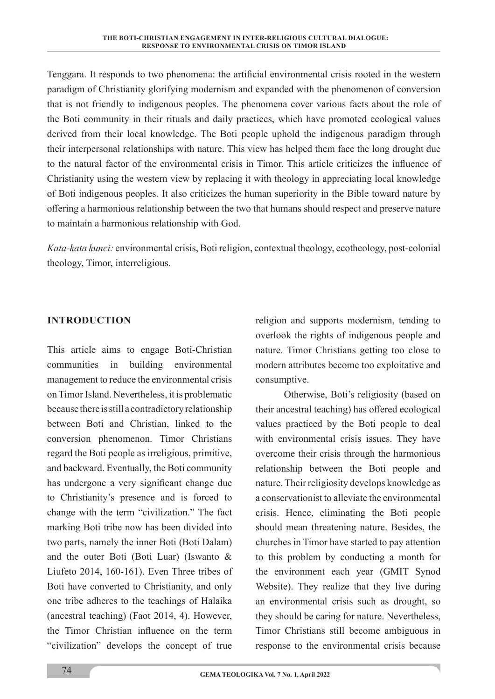Tenggara. It responds to two phenomena: the artificial environmental crisis rooted in the western paradigm of Christianity glorifying modernism and expanded with the phenomenon of conversion that is not friendly to indigenous peoples. The phenomena cover various facts about the role of the Boti community in their rituals and daily practices, which have promoted ecological values derived from their local knowledge. The Boti people uphold the indigenous paradigm through their interpersonal relationships with nature. This view has helped them face the long drought due to the natural factor of the environmental crisis in Timor. This article criticizes the influence of Christianity using the western view by replacing it with theology in appreciating local knowledge of Boti indigenous peoples. It also criticizes the human superiority in the Bible toward nature by offering a harmonious relationship between the two that humans should respect and preserve nature to maintain a harmonious relationship with God.

*Kata-kata kunci:* environmental crisis, Boti religion, contextual theology, ecotheology, post-colonial theology, Timor, interreligious*.*

#### **INTRODUCTION**

This article aims to engage Boti-Christian communities in building environmental management to reduce the environmental crisis on Timor Island. Nevertheless, it is problematic because there is still a contradictory relationship between Boti and Christian, linked to the conversion phenomenon. Timor Christians regard the Boti people as irreligious, primitive, and backward. Eventually, the Boti community has undergone a very significant change due to Christianity's presence and is forced to change with the term "civilization." The fact marking Boti tribe now has been divided into two parts, namely the inner Boti (Boti Dalam) and the outer Boti (Boti Luar) (Iswanto & Liufeto 2014, 160-161). Even Three tribes of Boti have converted to Christianity, and only one tribe adheres to the teachings of Halaika (ancestral teaching) (Faot 2014, 4). However, the Timor Christian influence on the term "civilization" develops the concept of true

religion and supports modernism, tending to overlook the rights of indigenous people and nature. Timor Christians getting too close to modern attributes become too exploitative and consumptive.

Otherwise, Boti's religiosity (based on their ancestral teaching) has offered ecological values practiced by the Boti people to deal with environmental crisis issues. They have overcome their crisis through the harmonious relationship between the Boti people and nature. Their religiosity develops knowledge as a conservationist to alleviate the environmental crisis. Hence, eliminating the Boti people should mean threatening nature. Besides, the churches in Timor have started to pay attention to this problem by conducting a month for the environment each year (GMIT Synod Website). They realize that they live during an environmental crisis such as drought, so they should be caring for nature. Nevertheless, Timor Christians still become ambiguous in response to the environmental crisis because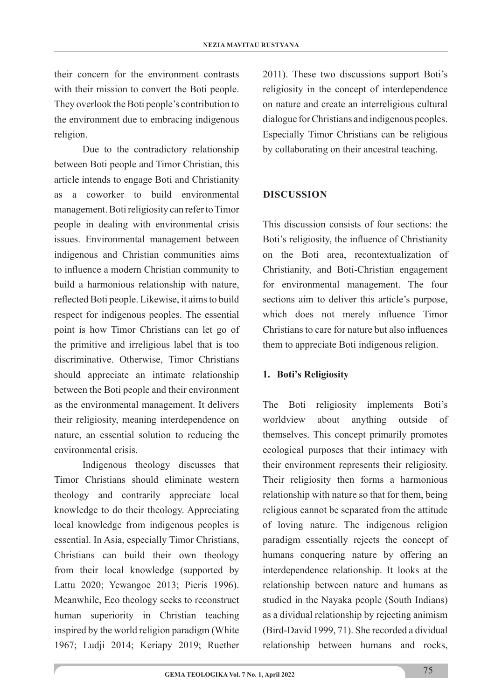their concern for the environment contrasts with their mission to convert the Boti people. They overlook the Boti people's contribution to the environment due to embracing indigenous religion.

Due to the contradictory relationship between Boti people and Timor Christian, this article intends to engage Boti and Christianity as a coworker to build environmental management. Boti religiosity can refer to Timor people in dealing with environmental crisis issues. Environmental management between indigenous and Christian communities aims to influence a modern Christian community to build a harmonious relationship with nature, reflected Boti people. Likewise, it aims to build respect for indigenous peoples. The essential point is how Timor Christians can let go of the primitive and irreligious label that is too discriminative. Otherwise, Timor Christians should appreciate an intimate relationship between the Boti people and their environment as the environmental management. It delivers their religiosity, meaning interdependence on nature, an essential solution to reducing the environmental crisis.

Indigenous theology discusses that Timor Christians should eliminate western theology and contrarily appreciate local knowledge to do their theology. Appreciating local knowledge from indigenous peoples is essential. In Asia, especially Timor Christians, Christians can build their own theology from their local knowledge (supported by Lattu 2020; Yewangoe 2013; Pieris 1996). Meanwhile, Eco theology seeks to reconstruct human superiority in Christian teaching inspired by the world religion paradigm (White 1967; Ludji 2014; Keriapy 2019; Ruether

2011). These two discussions support Boti's religiosity in the concept of interdependence on nature and create an interreligious cultural dialogue for Christians and indigenous peoples. Especially Timor Christians can be religious by collaborating on their ancestral teaching.

### **DISCUSSION**

This discussion consists of four sections: the Boti's religiosity, the influence of Christianity on the Boti area, recontextualization of Christianity, and Boti-Christian engagement for environmental management. The four sections aim to deliver this article's purpose, which does not merely influence Timor Christians to care for nature but also influences them to appreciate Boti indigenous religion.

#### **1. Boti's Religiosity**

The Boti religiosity implements Boti's worldview about anything outside of themselves. This concept primarily promotes ecological purposes that their intimacy with their environment represents their religiosity. Their religiosity then forms a harmonious relationship with nature so that for them, being religious cannot be separated from the attitude of loving nature. The indigenous religion paradigm essentially rejects the concept of humans conquering nature by offering an interdependence relationship. It looks at the relationship between nature and humans as studied in the Nayaka people (South Indians) as a dividual relationship by rejecting animism (Bird-David 1999, 71). She recorded a dividual relationship between humans and rocks,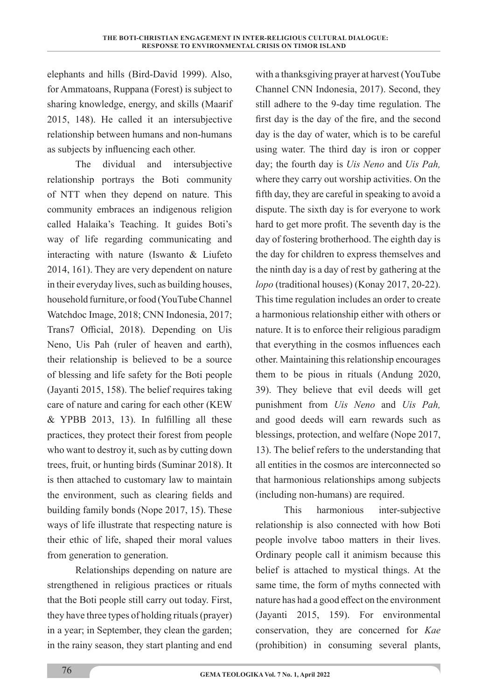elephants and hills (Bird-David 1999). Also, for Ammatoans, Ruppana (Forest) is subject to sharing knowledge, energy, and skills (Maarif 2015, 148). He called it an intersubjective relationship between humans and non-humans as subjects by influencing each other.

The dividual and intersubjective relationship portrays the Boti community of NTT when they depend on nature. This community embraces an indigenous religion called Halaika's Teaching. It guides Boti's way of life regarding communicating and interacting with nature (Iswanto & Liufeto 2014, 161). They are very dependent on nature in their everyday lives, such as building houses, household furniture, or food (YouTube Channel Watchdoc Image, 2018; CNN Indonesia, 2017; Trans7 Official, 2018). Depending on Uis Neno, Uis Pah (ruler of heaven and earth), their relationship is believed to be a source of blessing and life safety for the Boti people (Jayanti 2015, 158). The belief requires taking care of nature and caring for each other (KEW  $&$  YPBB 2013, 13). In fulfilling all these practices, they protect their forest from people who want to destroy it, such as by cutting down trees, fruit, or hunting birds (Suminar 2018). It is then attached to customary law to maintain the environment, such as clearing fields and building family bonds (Nope 2017, 15). These ways of life illustrate that respecting nature is their ethic of life, shaped their moral values from generation to generation.

Relationships depending on nature are strengthened in religious practices or rituals that the Boti people still carry out today. First, they have three types of holding rituals (prayer) in a year; in September, they clean the garden; in the rainy season, they start planting and end

with a thanksgiving prayer at harvest (YouTube Channel CNN Indonesia, 2017). Second, they still adhere to the 9-day time regulation. The first day is the day of the fire, and the second day is the day of water, which is to be careful using water. The third day is iron or copper day; the fourth day is *Uis Neno* and *Uis Pah,* where they carry out worship activities. On the fifth day, they are careful in speaking to avoid a dispute. The sixth day is for everyone to work hard to get more profit. The seventh day is the day of fostering brotherhood. The eighth day is the day for children to express themselves and the ninth day is a day of rest by gathering at the *lopo* (traditional houses) (Konay 2017, 20-22). This time regulation includes an order to create a harmonious relationship either with others or nature. It is to enforce their religious paradigm that everything in the cosmos influences each other. Maintaining this relationship encourages them to be pious in rituals (Andung 2020, 39). They believe that evil deeds will get punishment from *Uis Neno* and *Uis Pah,* and good deeds will earn rewards such as blessings, protection, and welfare (Nope 2017, 13). The belief refers to the understanding that all entities in the cosmos are interconnected so that harmonious relationships among subjects (including non-humans) are required.

This harmonious inter-subjective relationship is also connected with how Boti people involve taboo matters in their lives. Ordinary people call it animism because this belief is attached to mystical things. At the same time, the form of myths connected with nature has had a good effect on the environment (Jayanti 2015, 159). For environmental conservation, they are concerned for *Kae* (prohibition) in consuming several plants,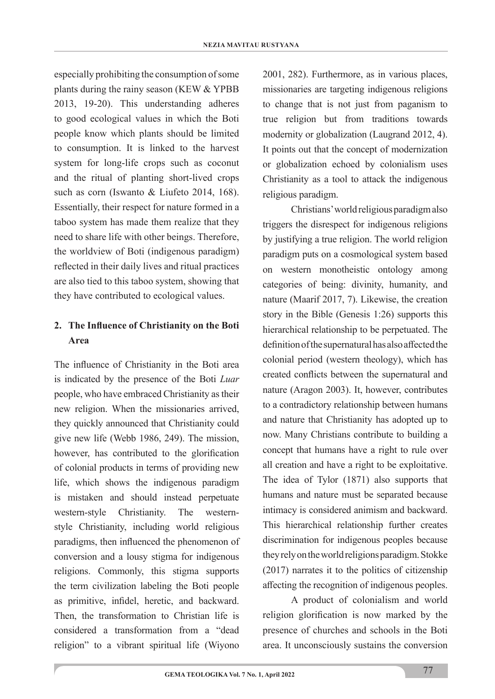especially prohibiting the consumption of some plants during the rainy season (KEW & YPBB 2013, 19-20). This understanding adheres to good ecological values in which the Boti people know which plants should be limited to consumption. It is linked to the harvest system for long-life crops such as coconut and the ritual of planting short-lived crops such as corn (Iswanto & Liufeto 2014, 168). Essentially, their respect for nature formed in a taboo system has made them realize that they need to share life with other beings. Therefore, the worldview of Boti (indigenous paradigm) reflected in their daily lives and ritual practices are also tied to this taboo system, showing that they have contributed to ecological values.

# 2. The Influence of Christianity on the Boti **Area**

The influence of Christianity in the Boti area is indicated by the presence of the Boti *Luar* people, who have embraced Christianity as their new religion. When the missionaries arrived, they quickly announced that Christianity could give new life (Webb 1986, 249). The mission, however, has contributed to the glorification of colonial products in terms of providing new life, which shows the indigenous paradigm is mistaken and should instead perpetuate western-style Christianity. The westernstyle Christianity, including world religious paradigms, then influenced the phenomenon of conversion and a lousy stigma for indigenous religions. Commonly, this stigma supports the term civilization labeling the Boti people as primitive, infidel, heretic, and backward. Then, the transformation to Christian life is considered a transformation from a "dead religion" to a vibrant spiritual life (Wiyono

2001, 282). Furthermore, as in various places, missionaries are targeting indigenous religions to change that is not just from paganism to true religion but from traditions towards modernity or globalization (Laugrand 2012, 4). It points out that the concept of modernization or globalization echoed by colonialism uses Christianity as a tool to attack the indigenous religious paradigm.

Christians' world religious paradigm also triggers the disrespect for indigenous religions by justifying a true religion. The world religion paradigm puts on a cosmological system based on western monotheistic ontology among categories of being: divinity, humanity, and nature (Maarif 2017, 7). Likewise, the creation story in the Bible (Genesis 1:26) supports this hierarchical relationship to be perpetuated. The definition of the supernatural has also affected the colonial period (western theology), which has created conflicts between the supernatural and nature (Aragon 2003). It, however, contributes to a contradictory relationship between humans and nature that Christianity has adopted up to now. Many Christians contribute to building a concept that humans have a right to rule over all creation and have a right to be exploitative. The idea of Tylor (1871) also supports that humans and nature must be separated because intimacy is considered animism and backward. This hierarchical relationship further creates discrimination for indigenous peoples because they rely on the world religions paradigm. Stokke (2017) narrates it to the politics of citizenship affecting the recognition of indigenous peoples.

A product of colonialism and world religion glorification is now marked by the presence of churches and schools in the Boti area. It unconsciously sustains the conversion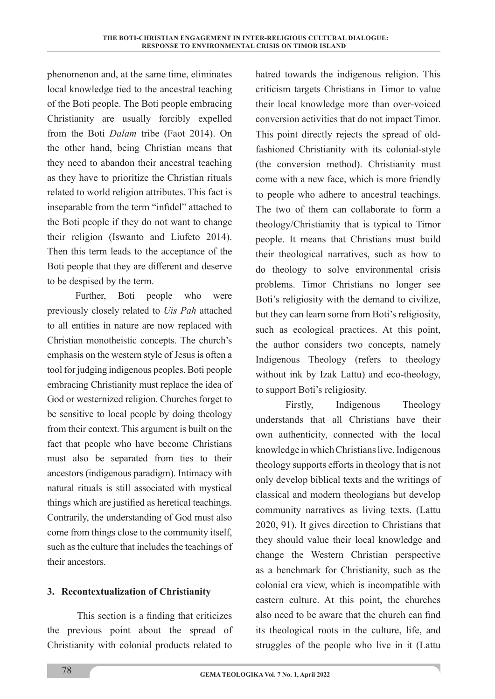phenomenon and, at the same time, eliminates local knowledge tied to the ancestral teaching of the Boti people. The Boti people embracing Christianity are usually forcibly expelled from the Boti *Dalam* tribe (Faot 2014). On the other hand, being Christian means that they need to abandon their ancestral teaching as they have to prioritize the Christian rituals related to world religion attributes. This fact is inseparable from the term "infidel" attached to the Boti people if they do not want to change their religion (Iswanto and Liufeto 2014). Then this term leads to the acceptance of the Boti people that they are different and deserve to be despised by the term.

Further, Boti people who were previously closely related to *Uis Pah* attached to all entities in nature are now replaced with Christian monotheistic concepts. The church's emphasis on the western style of Jesus is often a tool for judging indigenous peoples. Boti people embracing Christianity must replace the idea of God or westernized religion. Churches forget to be sensitive to local people by doing theology from their context. This argument is built on the fact that people who have become Christians must also be separated from ties to their ancestors (indigenous paradigm). Intimacy with natural rituals is still associated with mystical things which are justified as heretical teachings. Contrarily, the understanding of God must also come from things close to the community itself, such as the culture that includes the teachings of their ancestors.

#### **3. Recontextualization of Christianity**

This section is a finding that criticizes the previous point about the spread of Christianity with colonial products related to

hatred towards the indigenous religion. This criticism targets Christians in Timor to value their local knowledge more than over-voiced conversion activities that do not impact Timor. This point directly rejects the spread of oldfashioned Christianity with its colonial-style (the conversion method). Christianity must come with a new face, which is more friendly to people who adhere to ancestral teachings. The two of them can collaborate to form a theology/Christianity that is typical to Timor people. It means that Christians must build their theological narratives, such as how to do theology to solve environmental crisis problems. Timor Christians no longer see Boti's religiosity with the demand to civilize, but they can learn some from Boti's religiosity, such as ecological practices. At this point, the author considers two concepts, namely Indigenous Theology (refers to theology without ink by Izak Lattu) and eco-theology, to support Boti's religiosity.

 Firstly, Indigenous Theology understands that all Christians have their own authenticity, connected with the local knowledge in which Christians live. Indigenous theology supports efforts in theology that is not only develop biblical texts and the writings of classical and modern theologians but develop community narratives as living texts. (Lattu 2020, 91). It gives direction to Christians that they should value their local knowledge and change the Western Christian perspective as a benchmark for Christianity, such as the colonial era view, which is incompatible with eastern culture. At this point, the churches also need to be aware that the church can find its theological roots in the culture, life, and struggles of the people who live in it (Lattu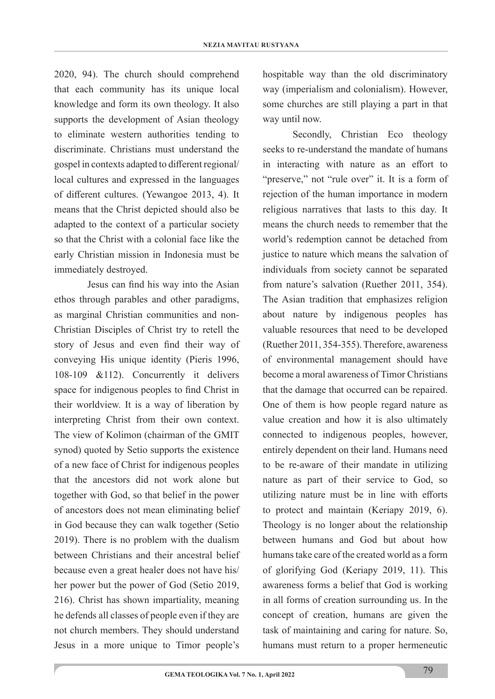2020, 94). The church should comprehend that each community has its unique local knowledge and form its own theology. It also supports the development of Asian theology to eliminate western authorities tending to discriminate. Christians must understand the gospel in contexts adapted to different regional/ local cultures and expressed in the languages of different cultures. (Yewangoe 2013, 4). It means that the Christ depicted should also be adapted to the context of a particular society so that the Christ with a colonial face like the early Christian mission in Indonesia must be immediately destroyed.

Jesus can find his way into the Asian ethos through parables and other paradigms, as marginal Christian communities and non-Christian Disciples of Christ try to retell the story of Jesus and even find their way of conveying His unique identity (Pieris 1996, 108-109 &112). Concurrently it delivers space for indigenous peoples to find Christ in their worldview. It is a way of liberation by interpreting Christ from their own context. The view of Kolimon (chairman of the GMIT synod) quoted by Setio supports the existence of a new face of Christ for indigenous peoples that the ancestors did not work alone but together with God, so that belief in the power of ancestors does not mean eliminating belief in God because they can walk together (Setio 2019). There is no problem with the dualism between Christians and their ancestral belief because even a great healer does not have his/ her power but the power of God (Setio 2019, 216). Christ has shown impartiality, meaning he defends all classes of people even if they are not church members. They should understand Jesus in a more unique to Timor people's

hospitable way than the old discriminatory way (imperialism and colonialism). However, some churches are still playing a part in that way until now.

 Secondly, Christian Eco theology seeks to re-understand the mandate of humans in interacting with nature as an effort to "preserve," not "rule over" it. It is a form of rejection of the human importance in modern religious narratives that lasts to this day. It means the church needs to remember that the world's redemption cannot be detached from justice to nature which means the salvation of individuals from society cannot be separated from nature's salvation (Ruether 2011, 354). The Asian tradition that emphasizes religion about nature by indigenous peoples has valuable resources that need to be developed (Ruether 2011, 354-355). Therefore, awareness of environmental management should have become a moral awareness of Timor Christians that the damage that occurred can be repaired. One of them is how people regard nature as value creation and how it is also ultimately connected to indigenous peoples, however, entirely dependent on their land. Humans need to be re-aware of their mandate in utilizing nature as part of their service to God, so utilizing nature must be in line with efforts to protect and maintain (Keriapy 2019, 6). Theology is no longer about the relationship between humans and God but about how humans take care of the created world as a form of glorifying God (Keriapy 2019, 11). This awareness forms a belief that God is working in all forms of creation surrounding us. In the concept of creation, humans are given the task of maintaining and caring for nature. So, humans must return to a proper hermeneutic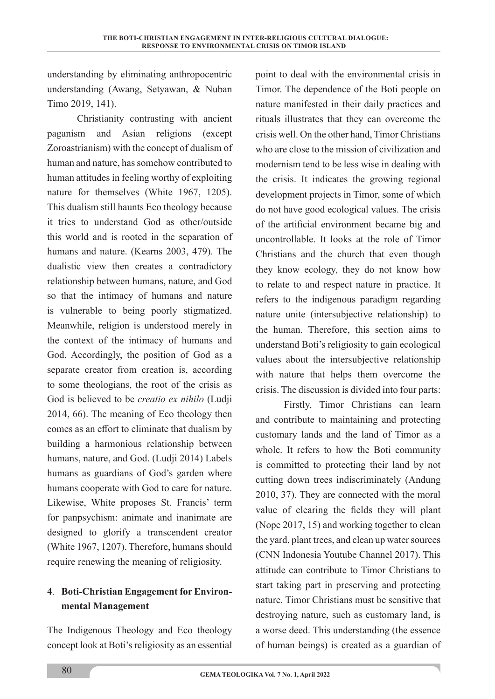understanding by eliminating anthropocentric understanding (Awang, Setyawan, & Nuban Timo 2019, 141).

 Christianity contrasting with ancient paganism and Asian religions (except Zoroastrianism) with the concept of dualism of human and nature, has somehow contributed to human attitudes in feeling worthy of exploiting nature for themselves (White 1967, 1205). This dualism still haunts Eco theology because it tries to understand God as other/outside this world and is rooted in the separation of humans and nature. (Kearns 2003, 479). The dualistic view then creates a contradictory relationship between humans, nature, and God so that the intimacy of humans and nature is vulnerable to being poorly stigmatized. Meanwhile, religion is understood merely in the context of the intimacy of humans and God. Accordingly, the position of God as a separate creator from creation is, according to some theologians, the root of the crisis as God is believed to be *creatio ex nihilo* (Ludji 2014, 66). The meaning of Eco theology then comes as an effort to eliminate that dualism by building a harmonious relationship between humans, nature, and God. (Ludji 2014) Labels humans as guardians of God's garden where humans cooperate with God to care for nature. Likewise, White proposes St. Francis' term for panpsychism: animate and inanimate are designed to glorify a transcendent creator (White 1967, 1207). Therefore, humans should require renewing the meaning of religiosity.

## **4**. **Boti-Christian Engagement for Environmental Management**

The Indigenous Theology and Eco theology concept look at Boti's religiosity as an essential

point to deal with the environmental crisis in Timor. The dependence of the Boti people on nature manifested in their daily practices and rituals illustrates that they can overcome the crisis well. On the other hand, Timor Christians who are close to the mission of civilization and modernism tend to be less wise in dealing with the crisis. It indicates the growing regional development projects in Timor, some of which do not have good ecological values. The crisis of the artificial environment became big and uncontrollable. It looks at the role of Timor Christians and the church that even though they know ecology, they do not know how to relate to and respect nature in practice. It refers to the indigenous paradigm regarding nature unite (intersubjective relationship) to the human. Therefore, this section aims to understand Boti's religiosity to gain ecological values about the intersubjective relationship with nature that helps them overcome the crisis. The discussion is divided into four parts:

Firstly, Timor Christians can learn and contribute to maintaining and protecting customary lands and the land of Timor as a whole. It refers to how the Boti community is committed to protecting their land by not cutting down trees indiscriminately (Andung 2010, 37). They are connected with the moral value of clearing the fields they will plant (Nope 2017, 15) and working together to clean the yard, plant trees, and clean up water sources (CNN Indonesia Youtube Channel 2017). This attitude can contribute to Timor Christians to start taking part in preserving and protecting nature. Timor Christians must be sensitive that destroying nature, such as customary land, is a worse deed. This understanding (the essence of human beings) is created as a guardian of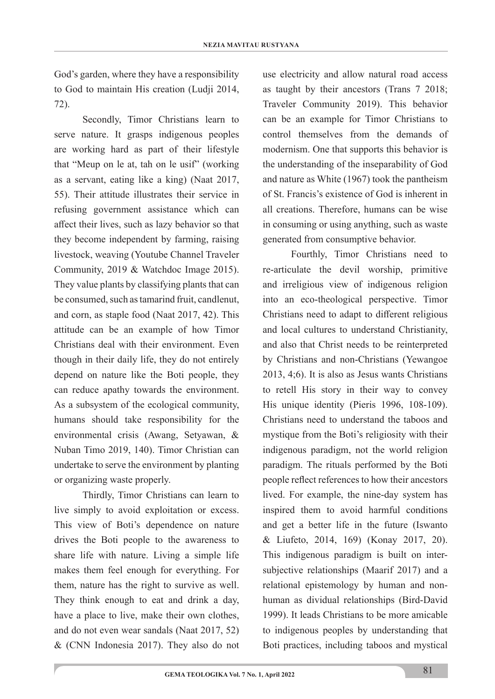God's garden, where they have a responsibility to God to maintain His creation (Ludji 2014, 72).

Secondly, Timor Christians learn to serve nature. It grasps indigenous peoples are working hard as part of their lifestyle that "Meup on le at, tah on le usif" (working as a servant, eating like a king) (Naat 2017, 55). Their attitude illustrates their service in refusing government assistance which can affect their lives, such as lazy behavior so that they become independent by farming, raising livestock, weaving (Youtube Channel Traveler Community, 2019 & Watchdoc Image 2015). They value plants by classifying plants that can be consumed, such as tamarind fruit, candlenut, and corn, as staple food (Naat 2017, 42). This attitude can be an example of how Timor Christians deal with their environment. Even though in their daily life, they do not entirely depend on nature like the Boti people, they can reduce apathy towards the environment. As a subsystem of the ecological community, humans should take responsibility for the environmental crisis (Awang, Setyawan, & Nuban Timo 2019, 140). Timor Christian can undertake to serve the environment by planting or organizing waste properly.

Thirdly, Timor Christians can learn to live simply to avoid exploitation or excess. This view of Boti's dependence on nature drives the Boti people to the awareness to share life with nature. Living a simple life makes them feel enough for everything. For them, nature has the right to survive as well. They think enough to eat and drink a day, have a place to live, make their own clothes, and do not even wear sandals (Naat 2017, 52) & (CNN Indonesia 2017). They also do not use electricity and allow natural road access as taught by their ancestors (Trans 7 2018; Traveler Community 2019). This behavior can be an example for Timor Christians to control themselves from the demands of modernism. One that supports this behavior is the understanding of the inseparability of God and nature as White (1967) took the pantheism of St. Francis's existence of God is inherent in all creations. Therefore, humans can be wise in consuming or using anything, such as waste generated from consumptive behavior.

Fourthly, Timor Christians need to re-articulate the devil worship, primitive and irreligious view of indigenous religion into an eco-theological perspective. Timor Christians need to adapt to different religious and local cultures to understand Christianity, and also that Christ needs to be reinterpreted by Christians and non-Christians (Yewangoe 2013, 4;6). It is also as Jesus wants Christians to retell His story in their way to convey His unique identity (Pieris 1996, 108-109). Christians need to understand the taboos and mystique from the Boti's religiosity with their indigenous paradigm, not the world religion paradigm. The rituals performed by the Boti people reflect references to how their ancestors lived. For example, the nine-day system has inspired them to avoid harmful conditions and get a better life in the future (Iswanto & Liufeto, 2014, 169) (Konay 2017, 20). This indigenous paradigm is built on intersubjective relationships (Maarif 2017) and a relational epistemology by human and nonhuman as dividual relationships (Bird-David 1999). It leads Christians to be more amicable to indigenous peoples by understanding that Boti practices, including taboos and mystical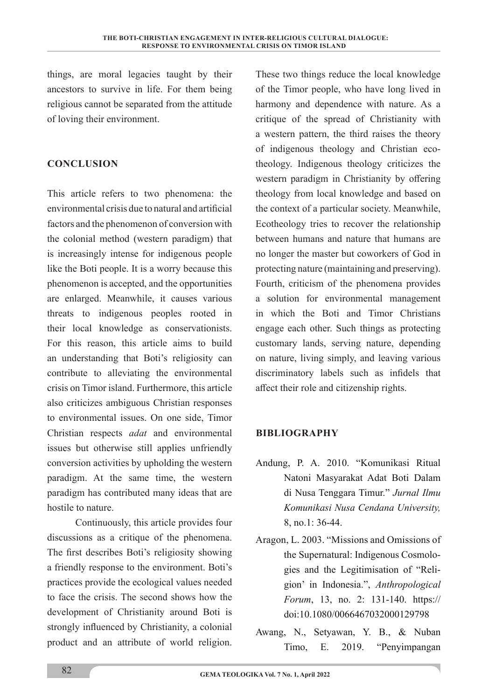things, are moral legacies taught by their ancestors to survive in life. For them being religious cannot be separated from the attitude of loving their environment.

### **CONCLUSION**

This article refers to two phenomena: the environmental crisis due to natural and artificial factors and the phenomenon of conversion with the colonial method (western paradigm) that is increasingly intense for indigenous people like the Boti people. It is a worry because this phenomenon is accepted, and the opportunities are enlarged. Meanwhile, it causes various threats to indigenous peoples rooted in their local knowledge as conservationists. For this reason, this article aims to build an understanding that Boti's religiosity can contribute to alleviating the environmental crisis on Timor island. Furthermore, this article also criticizes ambiguous Christian responses to environmental issues. On one side, Timor Christian respects *adat* and environmental issues but otherwise still applies unfriendly conversion activities by upholding the western paradigm. At the same time, the western paradigm has contributed many ideas that are hostile to nature.

Continuously, this article provides four discussions as a critique of the phenomena. The first describes Boti's religiosity showing a friendly response to the environment. Boti's practices provide the ecological values needed to face the crisis. The second shows how the development of Christianity around Boti is strongly influenced by Christianity, a colonial product and an attribute of world religion.

These two things reduce the local knowledge of the Timor people, who have long lived in harmony and dependence with nature. As a critique of the spread of Christianity with a western pattern, the third raises the theory of indigenous theology and Christian ecotheology. Indigenous theology criticizes the western paradigm in Christianity by offering theology from local knowledge and based on the context of a particular society. Meanwhile, Ecotheology tries to recover the relationship between humans and nature that humans are no longer the master but coworkers of God in protecting nature (maintaining and preserving). Fourth, criticism of the phenomena provides a solution for environmental management in which the Boti and Timor Christians engage each other. Such things as protecting customary lands, serving nature, depending on nature, living simply, and leaving various discriminatory labels such as infidels that affect their role and citizenship rights.

### **BIBLIOGRAPHY**

- Andung, P. A. 2010. "Komunikasi Ritual Natoni Masyarakat Adat Boti Dalam di Nusa Tenggara Timur." *Jurnal Ilmu Komunikasi Nusa Cendana University,*  8, no.1: 36-44.
- Aragon, L. 2003. "Missions and Omissions of the Supernatural: Indigenous Cosmologies and the Legitimisation of "Religion' in Indonesia.", *Anthropological Forum*, 13, no. 2: 131-140. https:// doi:10.1080/0066467032000129798
- Awang, N., Setyawan, Y. B., & Nuban Timo, E. 2019. "Penyimpangan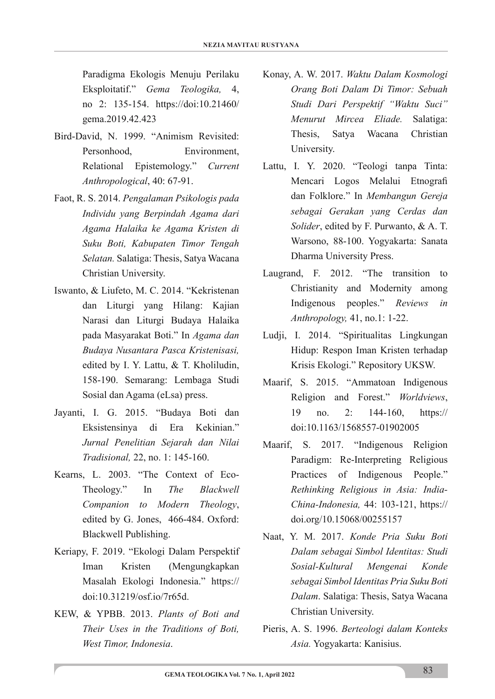Paradigma Ekologis Menuju Perilaku Eksploitatif." *Gema Teologika,* 4, no 2: 135-154. https://doi:10.21460/ gema.2019.42.423

- Bird-David, N. 1999. "Animism Revisited: Personhood Environment Relational Epistemology." *Current Anthropological*, 40: 67-91.
- Faot, R. S. 2014. *Pengalaman Psikologis pada Individu yang Berpindah Agama dari Agama Halaika ke Agama Kristen di Suku Boti, Kabupaten Timor Tengah Selatan.* Salatiga: Thesis, Satya Wacana Christian University.
- Iswanto, & Liufeto, M. C. 2014. "Kekristenan dan Liturgi yang Hilang: Kajian Narasi dan Liturgi Budaya Halaika pada Masyarakat Boti." In *Agama dan Budaya Nusantara Pasca Kristenisasi,* edited by I. Y. Lattu, & T. Kholiludin, 158-190. Semarang: Lembaga Studi Sosial dan Agama (eLsa) press.
- Jayanti, I. G. 2015. "Budaya Boti dan Eksistensinya di Era Kekinian." *Jurnal Penelitian Sejarah dan Nilai Tradisional,* 22, no. 1: 145-160.
- Kearns, L. 2003. "The Context of Eco-Theology." In *The Blackwell Companion to Modern Theology*, edited by G. Jones, 466-484. Oxford: Blackwell Publishing.
- Keriapy, F. 2019. "Ekologi Dalam Perspektif Iman Kristen (Mengungkapkan Masalah Ekologi Indonesia." https:// doi:10.31219/osf.io/7r65d.
- KEW, & YPBB. 2013. *Plants of Boti and Their Uses in the Traditions of Boti, West Timor, Indonesia*.
- Konay, A. W. 2017. *Waktu Dalam Kosmologi Orang Boti Dalam Di Timor: Sebuah Studi Dari Perspektif "Waktu Suci" Menurut Mircea Eliade.* Salatiga: Thesis, Satya Wacana Christian University.
- Lattu, I. Y. 2020. "Teologi tanpa Tinta: Mencari Logos Melalui Etnografi dan Folklore." In *Membangun Gereja sebagai Gerakan yang Cerdas dan Solider*, edited by F. Purwanto, & A. T. Warsono, 88-100. Yogyakarta: Sanata Dharma University Press.
- Laugrand, F. 2012. "The transition to Christianity and Modernity among Indigenous peoples." *Reviews in Anthropology,* 41, no.1: 1-22.
- Ludji, I. 2014. "Spiritualitas Lingkungan Hidup: Respon Iman Kristen terhadap Krisis Ekologi." Repository UKSW.
- Maarif, S. 2015. "Ammatoan Indigenous Religion and Forest." *Worldviews*, 19 no. 2: 144-160, https:// doi:10.1163/1568557-01902005
- Maarif, S. 2017. "Indigenous Religion Paradigm: Re-Interpreting Religious Practices of Indigenous People." *Rethinking Religious in Asia: India-China-Indonesia,* 44: 103-121, https:// doi.org/10.15068/00255157
- Naat, Y. M. 2017. *Konde Pria Suku Boti Dalam sebagai Simbol Identitas: Studi Sosial-Kultural Mengenai Konde sebagai Simbol Identitas Pria Suku Boti Dalam*. Salatiga: Thesis, Satya Wacana Christian University.
- Pieris, A. S. 1996. *Berteologi dalam Konteks Asia.* Yogyakarta: Kanisius.